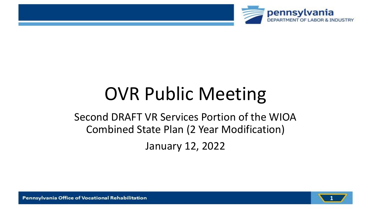

# OVR Public Meeting

# Second DRAFT VR Services Portion of the WIOA Combined State Plan (2 Year Modification) January 12, 2022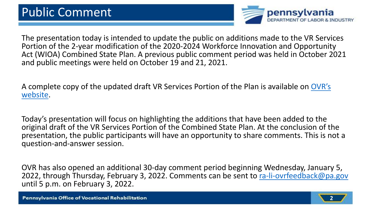

The presentation today is intended to update the public on additions made to the VR Services Portion of the 2-year modification of the 2020-2024 Workforce Innovation and Opportunity Act (WIOA) Combined State Plan. A previous public comment period was held in October 2021 and public meetings were held on October 19 and 21, 2021.

[A complete copy of the updated draft VR Services Portion of the Plan is available on](https://www.dli.pa.gov/Individuals/Disability-Services/Pages/Publications.aspx) OVR's website.

Today's presentation will focus on highlighting the additions that have been added to the original draft of the VR Services Portion of the Combined State Plan. At the conclusion of the presentation, the public participants will have an opportunity to share comments. This is not a question-and-answer session.

OVR has also opened an additional 30-day comment period beginning Wednesday, January 5, 2022, through Thursday, February 3, 2022. Comments can be sent to [ra-li-ovrfeedback@pa.gov](mailto:ra-li-ovrfeedback@pa.gov) until 5 p.m. on February 3, 2022.

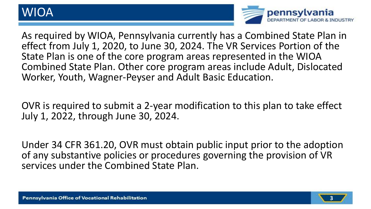## WIOA



As required by WIOA, Pennsylvania currently has a Combined State Plan in effect from July 1, 2020, to June 30, 2024. The VR Services Portion of the State Plan is one of the core program areas represented in the WIOA Combined State Plan. Other core program areas include Adult, Dislocated Worker, Youth, Wagner-Peyser and Adult Basic Education.

OVR is required to submit a 2-year modification to this plan to take effect July 1, 2022, through June 30, 2024.

Under 34 CFR 361.20, OVR must obtain public input prior to the adoption of any substantive policies or procedures governing the provision of VR services under the Combined State Plan.

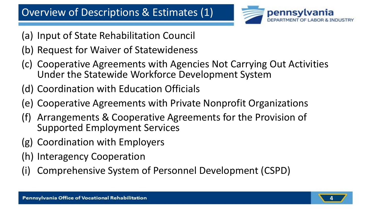

- (a) Input of State Rehabilitation Council
- (b) Request for Waiver of Statewideness
- (c) Cooperative Agreements with Agencies Not Carrying Out Activities Under the Statewide Workforce Development System
- (d) Coordination with Education Officials
- (e) Cooperative Agreements with Private Nonprofit Organizations
- Arrangements & Cooperative Agreements for the Provision of Supported Employment Services
- (g) Coordination with Employers
- (h) Interagency Cooperation
- Comprehensive System of Personnel Development (CSPD)

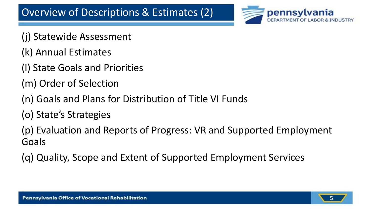

- (j) Statewide Assessment
- (k) Annual Estimates
- (l) State Goals and Priorities
- (m) Order of Selection
- (n) Goals and Plans for Distribution of Title VI Funds
- (o) State's Strategies

(p) Evaluation and Reports of Progress: VR and Supported Employment Goals

(q) Quality, Scope and Extent of Supported Employment Services

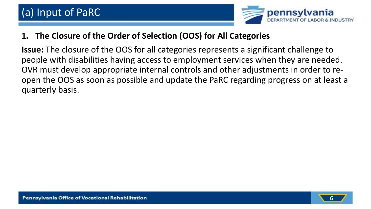

#### **1. The Closure of the Order of Selection (OOS) for All Categories**

**Issue:** The closure of the OOS for all categories represents a significant challenge to people with disabilities having access to employment services when they are needed. OVR must develop appropriate internal controls and other adjustments in order to reopen the OOS as soon as possible and update the PaRC regarding progress on at least a quarterly basis.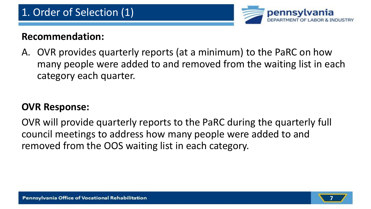

A. OVR provides quarterly reports (at a minimum) to the PaRC on how many people were added to and removed from the waiting list in each category each quarter.

#### **OVR Response:**

OVR will provide quarterly reports to the PaRC during the quarterly full council meetings to address how many people were added to and removed from the OOS waiting list in each category.

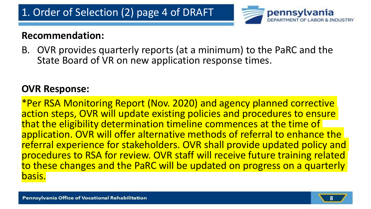

B. OVR provides quarterly reports (at a minimum) to the PaRC and the State Board of VR on new application response times.

#### **OVR Response:**

\*Per RSA Monitoring Report (Nov. 2020) and agency planned corrective action steps, OVR will update existing policies and procedures to ensure that the eligibility determination timeline commences at the time of application. OVR will offer alternative methods of referral to enhance the referral experience for stakeholders. OVR shall provide updated policy and procedures to RSA for review. OVR staff will receive future training related to these changes and the PaRC will be updated on progress on a quarterly basis.

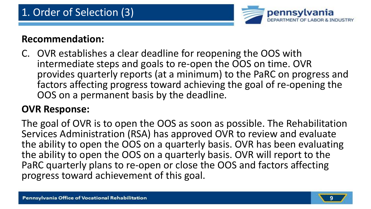

C. OVR establishes a clear deadline for reopening the OOS with intermediate steps and goals to re-open the OOS on time. OVR provides quarterly reports (at a minimum) to the PaRC on progress and factors affecting progress toward achieving the goal of re-opening the OOS on a permanent basis by the deadline.

#### **OVR Response:**

The goal of OVR is to open the OOS as soon as possible. The Rehabilitation Services Administration (RSA) has approved OVR to review and evaluate the ability to open the OOS on a quarterly basis. OVR has been evaluating the ability to open the OOS on a quarterly basis. OVR will report to the PaRC quarterly plans to re-open or close the OOS and factors affecting progress toward achievement of this goal.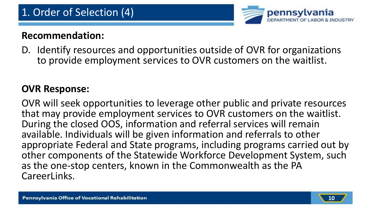

D. Identify resources and opportunities outside of OVR for organizations to provide employment services to OVR customers on the waitlist.

#### **OVR Response:**

OVR will seek opportunities to leverage other public and private resources that may provide employment services to OVR customers on the waitlist. During the closed OOS, information and referral services will remain available. Individuals will be given information and referrals to other appropriate Federal and State programs, including programs carried out by other components of the Statewide Workforce Development System, such as the one-stop centers, known in the Commonwealth as the PA CareerLinks.

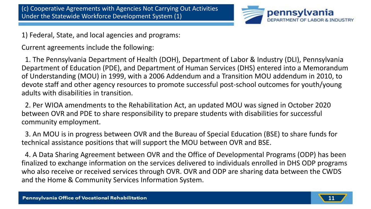

1) Federal, State, and local agencies and programs:

Current agreements include the following:

1. The Pennsylvania Department of Health (DOH), Department of Labor & Industry (DLI), Pennsylvania Department of Education (PDE), and Department of Human Services (DHS) entered into a Memorandum of Understanding (MOU) in 1999, with a 2006 Addendum and a Transition MOU addendum in 2010, to devote staff and other agency resources to promote successful post-school outcomes for youth/young adults with disabilities in transition.

2. Per WIOA amendments to the Rehabilitation Act, an updated MOU was signed in October 2020 between OVR and PDE to share responsibility to prepare students with disabilities for successful community employment.

3. An MOU is in progress between OVR and the Bureau of Special Education (BSE) to share funds for technical assistance positions that will support the MOU between OVR and BSE.

4. A Data Sharing Agreement between OVR and the Office of Developmental Programs (ODP) has been finalized to exchange information on the services delivered to individuals enrolled in DHS ODP programs who also receive or received services through OVR. OVR and ODP are sharing data between the CWDS and the Home & Community Services Information System.

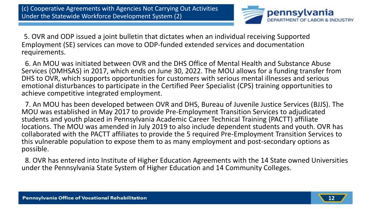

5. OVR and ODP issued a joint bulletin that dictates when an individual receiving Supported Employment (SE) services can move to ODP-funded extended services and documentation requirements.

6. An MOU was initiated between OVR and the DHS Office of Mental Health and Substance Abuse Services (OMHSAS) in 2017, which ends on June 30, 2022. The MOU allows for a funding transfer from DHS to OVR, which supports opportunities for customers with serious mental illnesses and serious emotional disturbances to participate in the Certified Peer Specialist (CPS) training opportunities to achieve competitive integrated employment.

7. An MOU has been developed between OVR and DHS, Bureau of Juvenile Justice Services (BJJS). The MOU was established in May 2017 to provide Pre-Employment Transition Services to adjudicated students and youth placed in Pennsylvania Academic Career Technical Training (PACTT) affiliate locations. The MOU was amended in July 2019 to also include dependent students and youth. OVR has collaborated with the PACTT affiliates to provide the 5 required Pre-Employment Transition Services to this vulnerable population to expose them to as many employment and post-secondary options as possible.

8. OVR has entered into Institute of Higher Education Agreements with the 14 State owned Universities under the Pennsylvania State System of Higher Education and 14 Community Colleges.

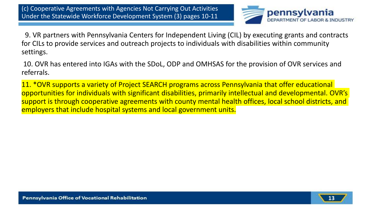

9. VR partners with Pennsylvania Centers for Independent Living (CIL) by executing grants and contracts for CILs to provide services and outreach projects to individuals with disabilities within community settings.

10. OVR has entered into IGAs with the SDoL, ODP and OMHSAS for the provision of OVR services and referrals.

11. \*OVR supports a variety of Project SEARCH programs across Pennsylvania that offer educational opportunities for individuals with significant disabilities, primarily intellectual and developmental. OVR's support is through cooperative agreements with county mental health offices, local school districts, and employers that include hospital systems and local government units.

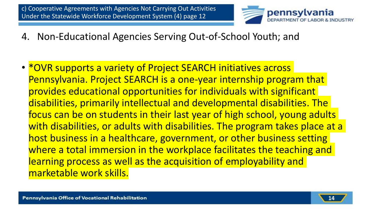

- 4. Non-Educational Agencies Serving Out-of-School Youth; and
- \*OVR supports a variety of Project SEARCH initiatives across Pennsylvania. Project SEARCH is a one-year internship program that provides educational opportunities for individuals with significant disabilities, primarily intellectual and developmental disabilities. The focus can be on students in their last year of high school, young adults with disabilities, or adults with disabilities. The program takes place at a host business in a healthcare, government, or other business setting where a total immersion in the workplace facilitates the teaching and learning process as well as the acquisition of employability and marketable work skills.

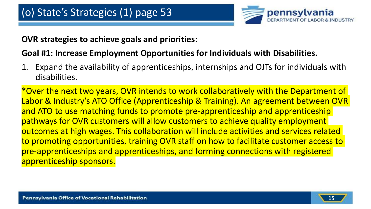

#### **OVR strategies to achieve goals and priorities:**

#### **Goal #1: Increase Employment Opportunities for Individuals with Disabilities.**

1. Expand the availability of apprenticeships, internships and OJTs for individuals with disabilities.

\*Over the next two years, OVR intends to work collaboratively with the Department of Labor & Industry's ATO Office (Apprenticeship & Training). An agreement between OVR and ATO to use matching funds to promote pre-apprenticeship and apprenticeship pathways for OVR customers will allow customers to achieve quality employment outcomes at high wages. This collaboration will include activities and services related to promoting opportunities, training OVR staff on how to facilitate customer access to pre-apprenticeships and apprenticeships, and forming connections with registered apprenticeship sponsors.

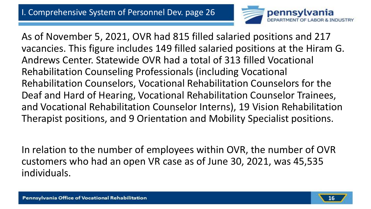

As of November 5, 2021, OVR had 815 filled salaried positions and 217 vacancies. This figure includes 149 filled salaried positions at the Hiram G. Andrews Center. Statewide OVR had a total of 313 filled Vocational Rehabilitation Counseling Professionals (including Vocational Rehabilitation Counselors, Vocational Rehabilitation Counselors for the Deaf and Hard of Hearing, Vocational Rehabilitation Counselor Trainees, and Vocational Rehabilitation Counselor Interns), 19 Vision Rehabilitation Therapist positions, and 9 Orientation and Mobility Specialist positions.

In relation to the number of employees within OVR, the number of OVR customers who had an open VR case as of June 30, 2021, was 45,535 individuals.

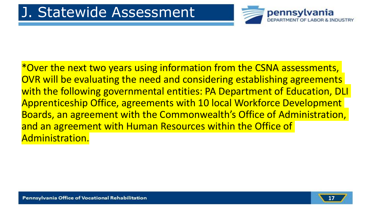

\*Over the next two years using information from the CSNA assessments, OVR will be evaluating the need and considering establishing agreements with the following governmental entities: PA Department of Education, DLI Apprenticeship Office, agreements with 10 local Workforce Development Boards, an agreement with the Commonwealth's Office of Administration, and an agreement with Human Resources within the Office of Administration.

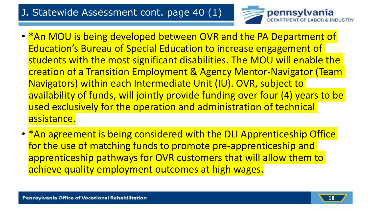#### J. Statewide Assessment cont. page 40 (1)



- \*An MOU is being developed between OVR and the PA Department of Education's Bureau of Special Education to increase engagement of students with the most significant disabilities. The MOU will enable the creation of a Transition Employment & Agency Mentor-Navigator (Team Navigators) within each Intermediate Unit (IU). OVR, subject to availability of funds, will jointly provide funding over four (4) years to be used exclusively for the operation and administration of technical assistance.
- \*An agreement is being considered with the DLI Apprenticeship Office for the use of matching funds to promote pre-apprenticeship and apprenticeship pathways for OVR customers that will allow them to achieve quality employment outcomes at high wages.

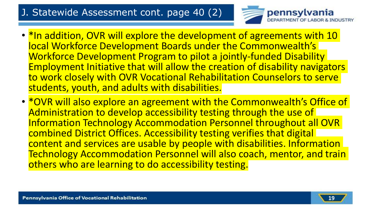#### J. Statewide Assessment cont. page 40 (2)



- \*In addition, OVR will explore the development of agreements with 10 local Workforce Development Boards under the Commonwealth's Workforce Development Program to pilot a jointly-funded Disability Employment Initiative that will allow the creation of disability navigators to work closely with OVR Vocational Rehabilitation Counselors to serve students, youth, and adults with disabilities.
- \*OVR will also explore an agreement with the Commonwealth's Office of Administration to develop accessibility testing through the use of Information Technology Accommodation Personnel throughout all OVR combined District Offices. Accessibility testing verifies that digital content and services are usable by people with disabilities. Information Technology Accommodation Personnel will also coach, mentor, and train others who are learning to do accessibility testing.

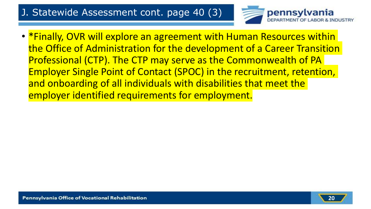#### J. Statewide Assessment cont. page 40 (3)



• \*Finally, OVR will explore an agreement with Human Resources within the Office of Administration for the development of a Career Transition Professional (CTP). The CTP may serve as the Commonwealth of PA Employer Single Point of Contact (SPOC) in the recruitment, retention, and onboarding of all individuals with disabilities that meet the employer identified requirements for employment.

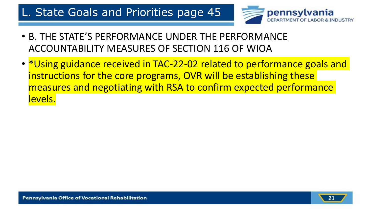### L. State Goals and Priorities page 45



- B. THE STATE'S PERFORMANCE UNDER THE PERFORMANCE ACCOUNTABILITY MEASURES OF SECTION 116 OF WIOA
- \*Using guidance received in TAC-22-02 related to performance goals and instructions for the core programs, OVR will be establishing these measures and negotiating with RSA to confirm expected performance levels.

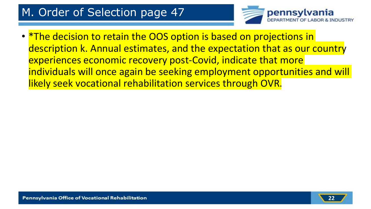## M. Order of Selection page 47



• *\*The decision to retain the OOS option is based on projections in* description k. Annual estimates, and the expectation that as our country experiences economic recovery post-Covid, indicate that more individuals will once again be seeking employment opportunities and will likely seek vocational rehabilitation services through OVR.

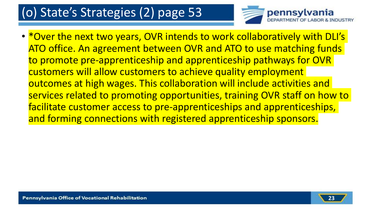# (o) State's Strategies (2) page 53



• \*Over the next two years, OVR intends to work collaboratively with DLI's ATO office. An agreement between OVR and ATO to use matching funds to promote pre-apprenticeship and apprenticeship pathways for OVR customers will allow customers to achieve quality employment outcomes at high wages. This collaboration will include activities and services related to promoting opportunities, training OVR staff on how to facilitate customer access to pre-apprenticeships and apprenticeships, and forming connections with registered apprenticeship sponsors.

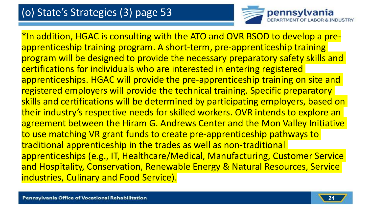

\*In addition, HGAC is consulting with the ATO and OVR BSOD to develop a preapprenticeship training program. A short-term, pre-apprenticeship training program will be designed to provide the necessary preparatory safety skills and certifications for individuals who are interested in entering registered apprenticeships. HGAC will provide the pre-apprenticeship training on site and registered employers will provide the technical training. Specific preparatory skills and certifications will be determined by participating employers, based on their industry's respective needs for skilled workers. OVR intends to explore an agreement between the Hiram G. Andrews Center and the Mon Valley Initiative to use matching VR grant funds to create pre-apprenticeship pathways to traditional apprenticeship in the trades as well as non-traditional apprenticeships (e.g., IT, Healthcare/Medical, Manufacturing, Customer Service and Hospitality, Conservation, Renewable Energy & Natural Resources, Service industries, Culinary and Food Service).

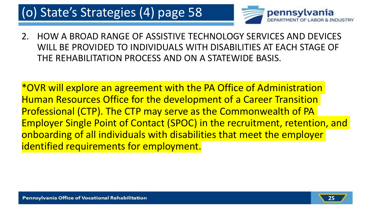# (o) State's Strategies (4) page 58



2. HOW A BROAD RANGE OF ASSISTIVE TECHNOLOGY SERVICES AND DEVICES WILL BE PROVIDED TO INDIVIDUALS WITH DISABILITIES AT EACH STAGE OF THE REHABILITATION PROCESS AND ON A STATEWIDE BASIS.

\*OVR will explore an agreement with the PA Office of Administration Human Resources Office for the development of a Career Transition Professional (CTP). The CTP may serve as the Commonwealth of PA Employer Single Point of Contact (SPOC) in the recruitment, retention, and onboarding of all individuals with disabilities that meet the employer identified requirements for employment.

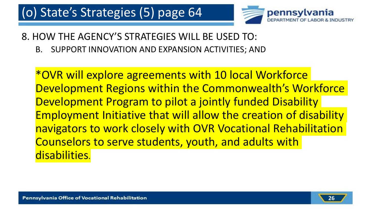

#### 8. HOW THE AGENCY'S STRATEGIES WILL BE USED TO:

B. SUPPORT INNOVATION AND EXPANSION ACTIVITIES; AND

\*OVR will explore agreements with 10 local Workforce Development Regions within the Commonwealth's Workforce Development Program to pilot a jointly funded Disability Employment Initiative that will allow the creation of disability navigators to work closely with OVR Vocational Rehabilitation Counselors to serve students, youth, and adults with disabilities.

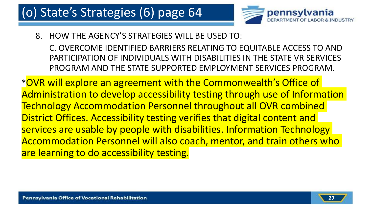# (o) State's Strategies (6) page 64



8. HOW THE AGENCY'S STRATEGIES WILL BE USED TO:

C. OVERCOME IDENTIFIED BARRIERS RELATING TO EQUITABLE ACCESS TO AND PARTICIPATION OF INDIVIDUALS WITH DISABILITIES IN THE STATE VR SERVICES PROGRAM AND THE STATE SUPPORTED EMPLOYMENT SERVICES PROGRAM.

\*OVR will explore an agreement with the Commonwealth's Office of Administration to develop accessibility testing through use of Information Technology Accommodation Personnel throughout all OVR combined District Offices. Accessibility testing verifies that digital content and services are usable by people with disabilities. Information Technology Accommodation Personnel will also coach, mentor, and train others who are learning to do accessibility testing.